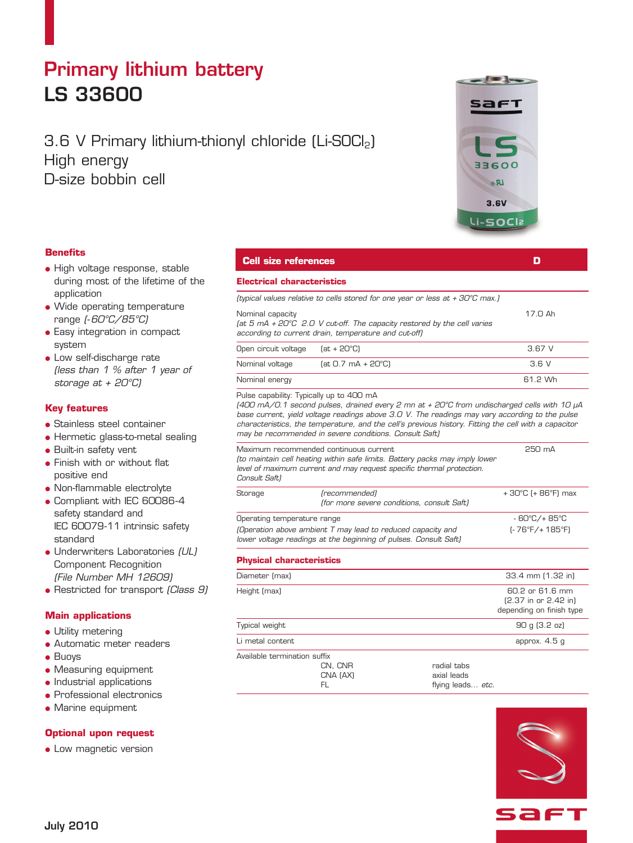# Primary lithium battery LS 33600

# 3.6 V Primary lithium-thionyl chloride (Li-SOCl<sub>2</sub>) High energy D-size bobbin cell

### **Benefits**

- High voltage response, stable during most of the lifetime of the application
- Wide operating temperature range (-60°C/85°C)
- **.** Easy integration in compact system
- **.** Low self-discharge rate (less than 1 % after 1 year of storage at + 20°C)

### **Key features**

- **Stainless steel container**
- Hermetic glass-to-metal sealing
- **Built-in safety vent**
- **•** Finish with or without flat positive end
- Non-flammable electrolyte
- Compliant with IEC 60086-4 safety standard and IEC 60079-11 intrinsic safety standard
- Underwriters Laboratories (UL) Component Recognition (File Number MH 12609)
- Restricted for transport (Class 9)

### **Main applications**

- Utility metering
- Automatic meter readers
- $\bullet$  Buoys
- **Measuring equipment**
- $\bullet$  Industrial applications
- $\bullet$  Professional electronics
- $\bullet$  Marine equipment

## **Optional upon request**

• Low magnetic version

# **Cell size references D**

### **Electrical characteristics**

(typical values relative to cells stored for one year or less at + 30°C max.)

Nominal capacity and the set of the set of the set of the set of the set of the set of the set of the set of the set of the set of the set of the set of the set of the set of the set of the set of the set of the set of the

|                                                      |  | (at 5 mA + $20^{\circ}$ C 2.0 V cut-off. The capacity restored by the cell varies |  |  |  |
|------------------------------------------------------|--|-----------------------------------------------------------------------------------|--|--|--|
| according to current drain, temperature and cut-off) |  |                                                                                   |  |  |  |

| Open circuit voltage | (at + 20°C)          | 3.67 V  |
|----------------------|----------------------|---------|
| Nominal voltage      | $[at 0.7 mA + 20°C]$ | 3.6 V   |
| Nominal energy       |                      | 61.2 Wh |

Pulse capability: Typically up to 400 mA

(400 mA/0.1 second pulses, drained every 2 mn at + 20°C from undischarged cells with 10 µA base current, yield voltage readings above 3.0 V. The readings may vary according to the pulse characteristics, the temperature, and the cell's previous history. Fitting the cell with a capacitor may be recommended in severe conditions. Consult Saft)

| Maximum recommended continuous current<br>(to maintain cell heating within safe limits. Battery packs may imply lower<br>level of maximum current and may request specific thermal protection.<br>Consult Saft) | 250 mA                                                      |                   |
|-----------------------------------------------------------------------------------------------------------------------------------------------------------------------------------------------------------------|-------------------------------------------------------------|-------------------|
| Storage                                                                                                                                                                                                         | (recommended)<br>(for more severe conditions, consult Saft) | +30°C (+86°F) max |
| Operating temperature range                                                                                                                                                                                     |                                                             | - 60°C/+ 85°C     |
| (Operation above ambient T may lead to reduced capacity and<br>lower voltage readings at the beginning of pulses. Consult Saft)                                                                                 |                                                             | (- 76°F/+ 185°F)  |
| <b>Physical characteristics</b>                                                                                                                                                                                 |                                                             |                   |

### **Physical characteristics**

| Diameter (max)               |                           |                                                 | 33.4 mm (1.32 in)                                                      |
|------------------------------|---------------------------|-------------------------------------------------|------------------------------------------------------------------------|
| Height (max)                 |                           |                                                 | 60.2 or 61.6 mm<br>$[2.37$ in or $2.42$ in<br>depending on finish type |
| Typical weight               |                           |                                                 | 90 g (3.2 oz)                                                          |
| Li metal content             |                           |                                                 | approx. 4.5 g                                                          |
| Available termination suffix | CN, CNR<br>CNA (AX)<br>FL | radial tabs<br>axial leads<br>flying leads etc. |                                                                        |